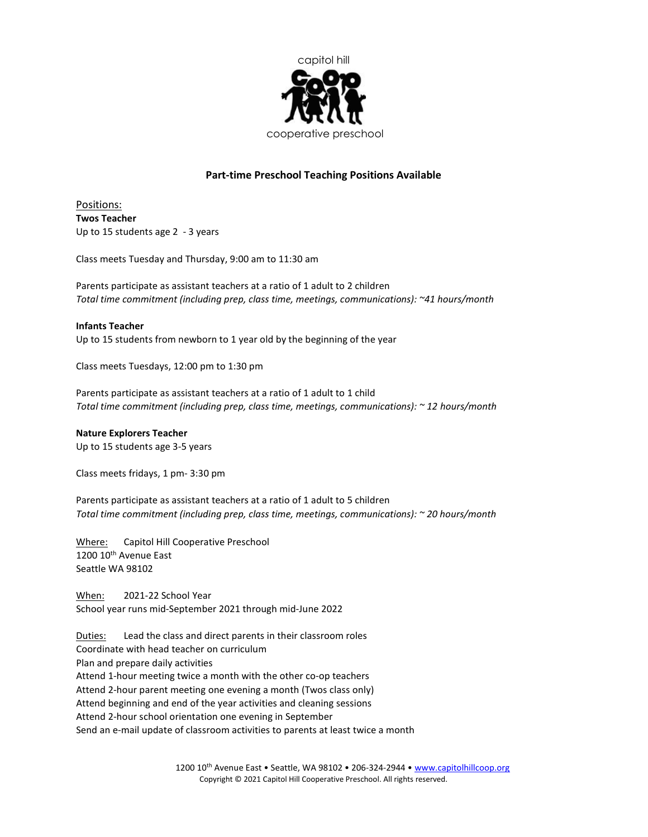

# Part-time Preschool Teaching Positions Available

Positions: Twos Teacher Up to 15 students age 2 - 3 years

Class meets Tuesday and Thursday, 9:00 am to 11:30 am

Parents participate as assistant teachers at a ratio of 1 adult to 2 children Total time commitment (including prep, class time, meetings, communications): ~41 hours/month

## Infants Teacher

Up to 15 students from newborn to 1 year old by the beginning of the year

Class meets Tuesdays, 12:00 pm to 1:30 pm

Parents participate as assistant teachers at a ratio of 1 adult to 1 child Total time commitment (including prep, class time, meetings, communications): ~ 12 hours/month

## Nature Explorers Teacher

Up to 15 students age 3-5 years

Class meets fridays, 1 pm- 3:30 pm

Parents participate as assistant teachers at a ratio of 1 adult to 5 children Total time commitment (including prep, class time, meetings, communications): ~ 20 hours/month

Where: Capitol Hill Cooperative Preschool 1200 10<sup>th</sup> Avenue East Seattle WA 98102

When: 2021-22 School Year School year runs mid-September 2021 through mid-June 2022

Duties: Lead the class and direct parents in their classroom roles Coordinate with head teacher on curriculum Plan and prepare daily activities Attend 1-hour meeting twice a month with the other co-op teachers Attend 2-hour parent meeting one evening a month (Twos class only) Attend beginning and end of the year activities and cleaning sessions Attend 2-hour school orientation one evening in September Send an e-mail update of classroom activities to parents at least twice a month